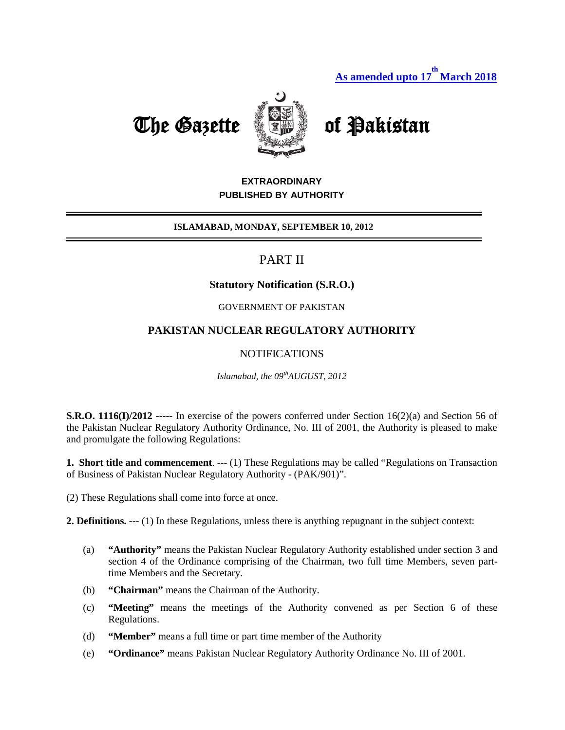

# The Gazette **Come of Pakistan**

# **EXTRAORDINARY PUBLISHED BY AUTHORITY**

#### **ISLAMABAD, MONDAY, SEPTEMBER 10, 2012**

# PART II

# **Statutory Notification (S.R.O.)**

### GOVERNMENT OF PAKISTAN

# **PAKISTAN NUCLEAR REGULATORY AUTHORITY**

# NOTIFICATIONS

*Islamabad, the 09thAUGUST, 2012*

**S.R.O. 1116(I)/2012 -----** In exercise of the powers conferred under Section 16(2)(a) and Section 56 of the Pakistan Nuclear Regulatory Authority Ordinance, No. III of 2001, the Authority is pleased to make and promulgate the following Regulations:

**1. Short title and commencement**. --- (1) These Regulations may be called "Regulations on Transaction of Business of Pakistan Nuclear Regulatory Authority - (PAK/901)".

(2) These Regulations shall come into force at once.

**2. Definitions. ---** (1) In these Regulations, unless there is anything repugnant in the subject context:

- (a) **"Authority"** means the Pakistan Nuclear Regulatory Authority established under section 3 and section 4 of the Ordinance comprising of the Chairman, two full time Members, seven parttime Members and the Secretary.
- (b) **"Chairman"** means the Chairman of the Authority.
- (c) **"Meeting"** means the meetings of the Authority convened as per Section 6 of these Regulations.
- (d) **"Member"** means a full time or part time member of the Authority
- (e) **"Ordinance"** means Pakistan Nuclear Regulatory Authority Ordinance No. III of 2001.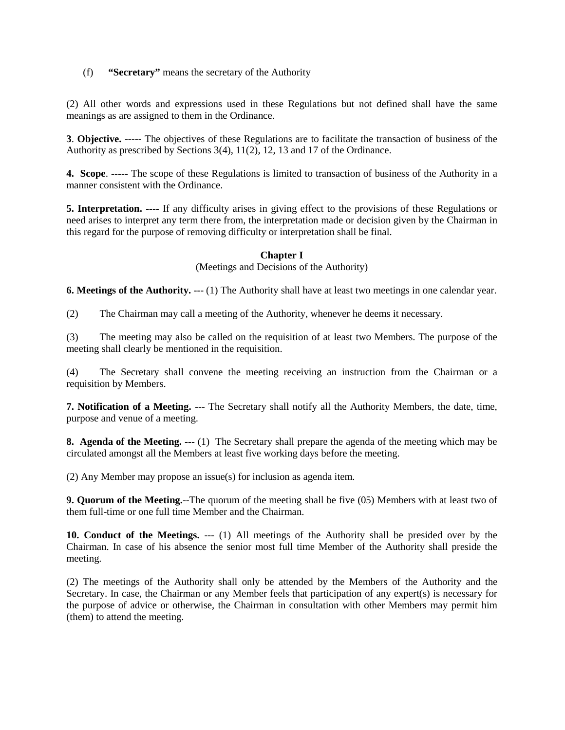(f) **"Secretary"** means the secretary of the Authority

(2) All other words and expressions used in these Regulations but not defined shall have the same meanings as are assigned to them in the Ordinance.

**3**. **Objective. -----** The objectives of these Regulations are to facilitate the transaction of business of the Authority as prescribed by Sections 3(4), 11(2), 12, 13 and 17 of the Ordinance.

**4. Scope**. **-----** The scope of these Regulations is limited to transaction of business of the Authority in a manner consistent with the Ordinance.

**5. Interpretation. ----** If any difficulty arises in giving effect to the provisions of these Regulations or need arises to interpret any term there from, the interpretation made or decision given by the Chairman in this regard for the purpose of removing difficulty or interpretation shall be final.

#### **Chapter I**

(Meetings and Decisions of the Authority)

**6. Meetings of the Authority.** --- (1) The Authority shall have at least two meetings in one calendar year.

(2) The Chairman may call a meeting of the Authority, whenever he deems it necessary.

(3) The meeting may also be called on the requisition of at least two Members. The purpose of the meeting shall clearly be mentioned in the requisition.

(4) The Secretary shall convene the meeting receiving an instruction from the Chairman or a requisition by Members.

**7. Notification of a Meeting.** --- The Secretary shall notify all the Authority Members, the date, time, purpose and venue of a meeting.

**8. Agenda of the Meeting. ---** (1) The Secretary shall prepare the agenda of the meeting which may be circulated amongst all the Members at least five working days before the meeting.

(2) Any Member may propose an issue(s) for inclusion as agenda item.

**9. Quorum of the Meeting.**--The quorum of the meeting shall be five (05) Members with at least two of them full-time or one full time Member and the Chairman.

**10. Conduct of the Meetings.** --- (1) All meetings of the Authority shall be presided over by the Chairman. In case of his absence the senior most full time Member of the Authority shall preside the meeting.

(2) The meetings of the Authority shall only be attended by the Members of the Authority and the Secretary. In case, the Chairman or any Member feels that participation of any expert(s) is necessary for the purpose of advice or otherwise, the Chairman in consultation with other Members may permit him (them) to attend the meeting.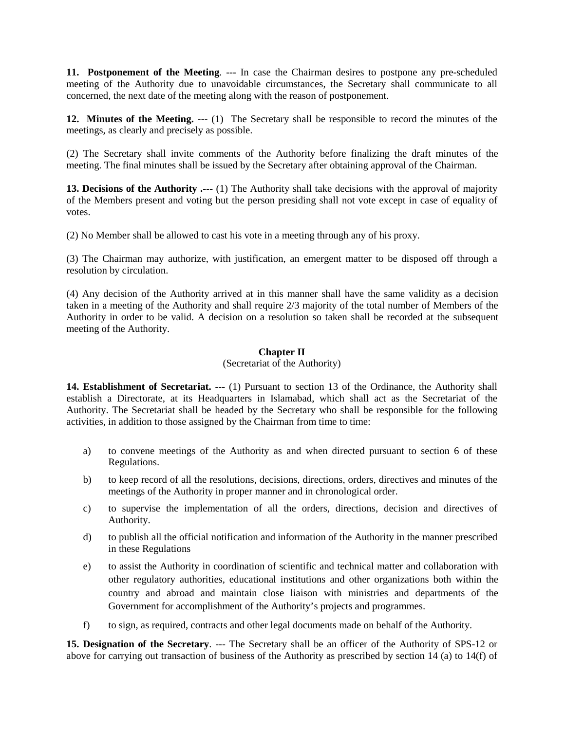**11. Postponement of the Meeting**. --- In case the Chairman desires to postpone any pre-scheduled meeting of the Authority due to unavoidable circumstances, the Secretary shall communicate to all concerned, the next date of the meeting along with the reason of postponement.

**12. Minutes of the Meeting. ---** (1) The Secretary shall be responsible to record the minutes of the meetings, as clearly and precisely as possible.

(2) The Secretary shall invite comments of the Authority before finalizing the draft minutes of the meeting. The final minutes shall be issued by the Secretary after obtaining approval of the Chairman.

**13. Decisions of the Authority .---** (1) The Authority shall take decisions with the approval of majority of the Members present and voting but the person presiding shall not vote except in case of equality of votes.

(2) No Member shall be allowed to cast his vote in a meeting through any of his proxy.

(3) The Chairman may authorize, with justification, an emergent matter to be disposed off through a resolution by circulation.

(4) Any decision of the Authority arrived at in this manner shall have the same validity as a decision taken in a meeting of the Authority and shall require 2/3 majority of the total number of Members of the Authority in order to be valid. A decision on a resolution so taken shall be recorded at the subsequent meeting of the Authority.

#### **Chapter II**

(Secretariat of the Authority)

**14. Establishment of Secretariat. ---** (1) Pursuant to section 13 of the Ordinance, the Authority shall establish a Directorate, at its Headquarters in Islamabad, which shall act as the Secretariat of the Authority. The Secretariat shall be headed by the Secretary who shall be responsible for the following activities, in addition to those assigned by the Chairman from time to time:

- a) to convene meetings of the Authority as and when directed pursuant to section 6 of these Regulations.
- b) to keep record of all the resolutions, decisions, directions, orders, directives and minutes of the meetings of the Authority in proper manner and in chronological order.
- c) to supervise the implementation of all the orders, directions, decision and directives of Authority.
- d) to publish all the official notification and information of the Authority in the manner prescribed in these Regulations
- e) to assist the Authority in coordination of scientific and technical matter and collaboration with other regulatory authorities, educational institutions and other organizations both within the country and abroad and maintain close liaison with ministries and departments of the Government for accomplishment of the Authority's projects and programmes.
- f) to sign, as required, contracts and other legal documents made on behalf of the Authority.

**15. Designation of the Secretary**. --- The Secretary shall be an officer of the Authority of SPS-12 or above for carrying out transaction of business of the Authority as prescribed by section 14 (a) to 14(f) of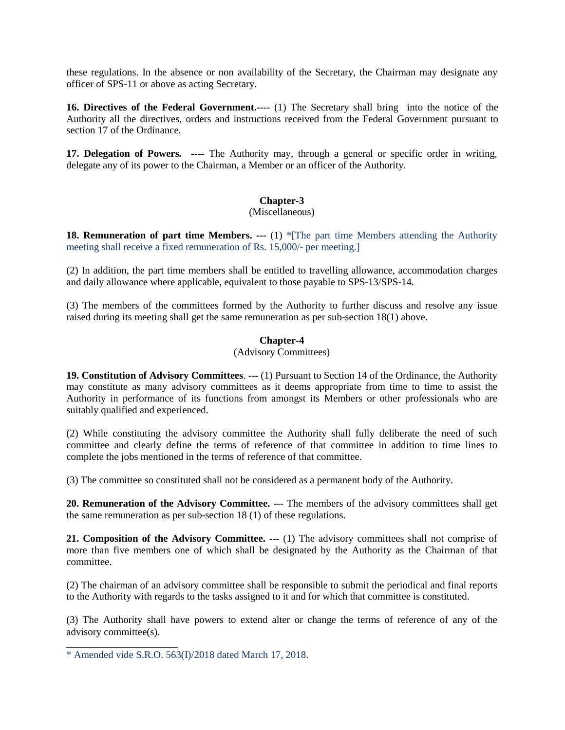these regulations. In the absence or non availability of the Secretary, the Chairman may designate any officer of SPS-11 or above as acting Secretary.

**16. Directives of the Federal Government.**---- (1) The Secretary shall bring into the notice of the Authority all the directives, orders and instructions received from the Federal Government pursuant to section 17 of the Ordinance.

**17. Delegation of Powers. ----** The Authority may, through a general or specific order in writing, delegate any of its power to the Chairman, a Member or an officer of the Authority.

#### **Chapter-3**

#### (Miscellaneous)

**18. Remuneration of part time Members. ---** (1) \*[The part time Members attending the Authority meeting shall receive a fixed remuneration of Rs. 15,000/- per meeting.]

(2) In addition, the part time members shall be entitled to travelling allowance, accommodation charges and daily allowance where applicable, equivalent to those payable to SPS-13/SPS-14.

(3) The members of the committees formed by the Authority to further discuss and resolve any issue raised during its meeting shall get the same remuneration as per sub-section 18(1) above.

#### **Chapter-4**

#### (Advisory Committees)

**19. Constitution of Advisory Committees**. --- (1) Pursuant to Section 14 of the Ordinance, the Authority may constitute as many advisory committees as it deems appropriate from time to time to assist the Authority in performance of its functions from amongst its Members or other professionals who are suitably qualified and experienced.

(2) While constituting the advisory committee the Authority shall fully deliberate the need of such committee and clearly define the terms of reference of that committee in addition to time lines to complete the jobs mentioned in the terms of reference of that committee.

(3) The committee so constituted shall not be considered as a permanent body of the Authority.

**20. Remuneration of the Advisory Committee.** --- The members of the advisory committees shall get the same remuneration as per sub-section 18 (1) of these regulations.

**21. Composition of the Advisory Committee. ---** (1) The advisory committees shall not comprise of more than five members one of which shall be designated by the Authority as the Chairman of that committee.

(2) The chairman of an advisory committee shall be responsible to submit the periodical and final reports to the Authority with regards to the tasks assigned to it and for which that committee is constituted.

(3) The Authority shall have powers to extend alter or change the terms of reference of any of the advisory committee(s).

\_\_\_\_\_\_\_\_\_\_\_\_\_\_\_\_\_\_\_\_\_\_

<sup>\*</sup> Amended vide S.R.O. 563(I)/2018 dated March 17, 2018.